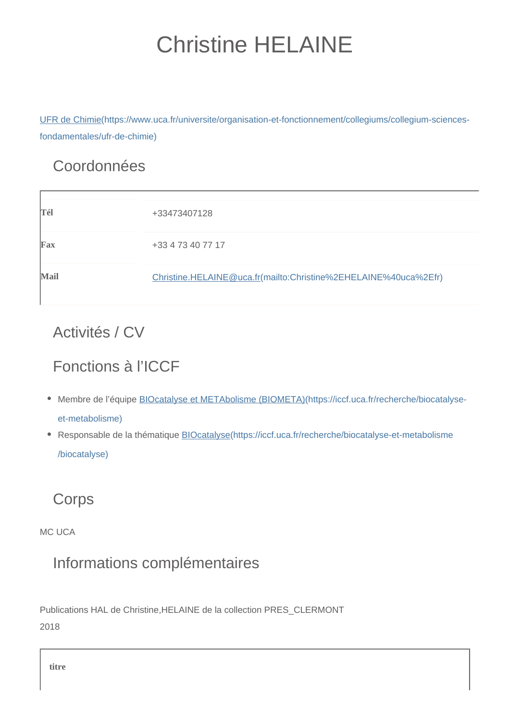# Christine HELAINE

[UFR de Chimie\(https://www.uca.fr/universite/organisation-et-fonctionnement/collegiums/collegium-sciences](https://www.uca.fr/universite/organisation-et-fonctionnement/collegiums/collegium-sciences-fondamentales/ufr-de-chimie)[fondamentales/ufr-de-chimie\)](https://www.uca.fr/universite/organisation-et-fonctionnement/collegiums/collegium-sciences-fondamentales/ufr-de-chimie)

### Coordonnées

| Tél  | +33473407128                                                    |
|------|-----------------------------------------------------------------|
| Fax  | +33 4 73 40 77 17                                               |
| Mail | Christine.HELAINE@uca.fr(mailto:Christine%2EHELAINE%40uca%2Efr) |

### Activités / CV

## Fonctions à l'ICCF

- Membre de l'équipe **BIOcatalyse et METAbolisme** (BIOMETA)(https://iccf.uca.fr/recherche/biocatalyse[et-metabolisme\)](https://iccf.uca.fr/recherche/biocatalyse-et-metabolisme)
- Responsable de la thématique **BIOcatalyse**(https://iccf.uca.fr/recherche/biocatalyse-et-metabolisme [/biocatalyse\)](https://iccf.uca.fr/recherche/biocatalyse-et-metabolisme/biocatalyse)

### **Corps**

MC LICA

### Informations complémentaires

Publications HAL de Christine,HELAINE de la collection PRES\_CLERMONT 2018

**titre**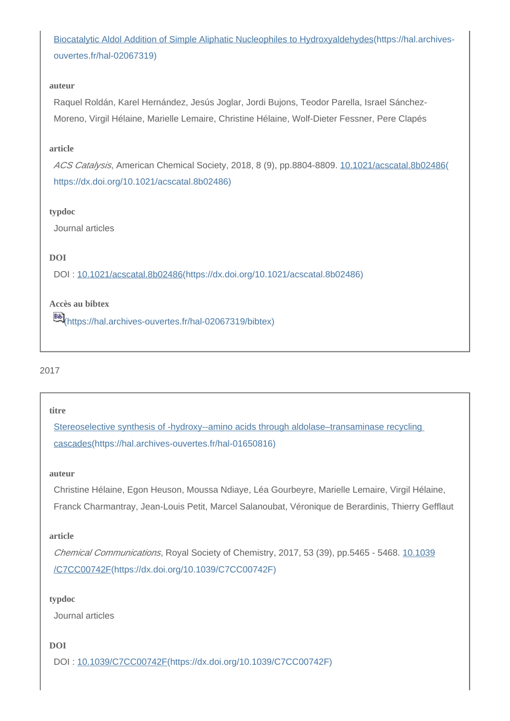[Biocatalytic Aldol Addition of Simple Aliphatic Nucleophiles to Hydroxyaldehydes\(https://hal.archives](https://hal.archives-ouvertes.fr/hal-02067319)[ouvertes.fr/hal-02067319\)](https://hal.archives-ouvertes.fr/hal-02067319)

#### **auteur**

Raquel Roldán, Karel Hernández, Jesús Joglar, Jordi Bujons, Teodor Parella, Israel Sánchez-Moreno, Virgil Hélaine, Marielle Lemaire, Christine Hélaine, Wolf-Dieter Fessner, Pere Clapés

#### **article**

ACS Catalysis, American Chemical Society, 2018, 8 (9), pp.8804-8809. [10.1021/acscatal.8b02486\(](https://dx.doi.org/10.1021/acscatal.8b02486) [https://dx.doi.org/10.1021/acscatal.8b02486\)](https://dx.doi.org/10.1021/acscatal.8b02486)

#### **typdoc**

Journal articles

#### **DOI**

DOI : [10.1021/acscatal.8b02486\(https://dx.doi.org/10.1021/acscatal.8b02486\)](https://dx.doi.org/10.1021/acscatal.8b02486)

#### **Accès au bibtex**

[\(https://hal.archives-ouvertes.fr/hal-02067319/bibtex\)](https://hal.archives-ouvertes.fr/hal-02067319/bibtex)

#### 2017

#### **titre**

Stereoselective synthesis of -hydroxy--amino acids through aldolase-transaminase recycling [cascades\(https://hal.archives-ouvertes.fr/hal-01650816\)](https://hal.archives-ouvertes.fr/hal-01650816)

#### **auteur**

Christine Hélaine, Egon Heuson, Moussa Ndiaye, Léa Gourbeyre, Marielle Lemaire, Virgil Hélaine, Franck Charmantray, Jean-Louis Petit, Marcel Salanoubat, Véronique de Berardinis, Thierry Gefflaut

#### **article**

Chemical Communications, Royal Society of Chemistry, 2017, 53 (39), pp.5465 - 5468. [10.1039](https://dx.doi.org/10.1039/C7CC00742F) [/C7CC00742F\(https://dx.doi.org/10.1039/C7CC00742F\)](https://dx.doi.org/10.1039/C7CC00742F)

#### **typdoc**

Journal articles

#### **DOI**

DOI : [10.1039/C7CC00742F\(https://dx.doi.org/10.1039/C7CC00742F\)](https://dx.doi.org/10.1039/C7CC00742F)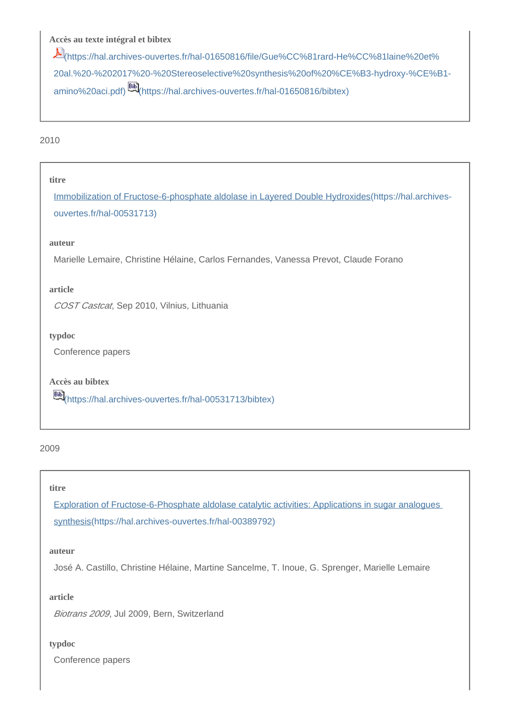#### **Accès au texte intégral et bibtex**

[\(https://hal.archives-ouvertes.fr/hal-01650816/file/Gue%CC%81rard-He%CC%81laine%20et%](https://hal.archives-ouvertes.fr/hal-01650816/file/Gue%CC%81rard-He%CC%81laine%20et%20al.%20-%202017%20-%20Stereoselective%20synthesis%20of%20%CE%B3-hydroxy-%CE%B1-amino%20aci.pdf) [20al.%20-%202017%20-%20Stereoselective%20synthesis%20of%20%CE%B3-hydroxy-%CE%B1](https://hal.archives-ouvertes.fr/hal-01650816/file/Gue%CC%81rard-He%CC%81laine%20et%20al.%20-%202017%20-%20Stereoselective%20synthesis%20of%20%CE%B3-hydroxy-%CE%B1-amino%20aci.pdf) [amino%20aci.pdf\)](https://hal.archives-ouvertes.fr/hal-01650816/file/Gue%CC%81rard-He%CC%81laine%20et%20al.%20-%202017%20-%20Stereoselective%20synthesis%20of%20%CE%B3-hydroxy-%CE%B1-amino%20aci.pdf) [\(https://hal.archives-ouvertes.fr/hal-01650816/bibtex\)](https://hal.archives-ouvertes.fr/hal-01650816/bibtex)

#### 2010

**titre**

[Immobilization of Fructose-6-phosphate aldolase in Layered Double Hydroxides\(https://hal.archives](https://hal.archives-ouvertes.fr/hal-00531713)[ouvertes.fr/hal-00531713\)](https://hal.archives-ouvertes.fr/hal-00531713)

#### **auteur**

Marielle Lemaire, Christine Hélaine, Carlos Fernandes, Vanessa Prevot, Claude Forano

#### **article**

COST Castcat, Sep 2010, Vilnius, Lithuania

**typdoc**

Conference papers

**Accès au bibtex** [\(https://hal.archives-ouvertes.fr/hal-00531713/bibtex\)](https://hal.archives-ouvertes.fr/hal-00531713/bibtex)

#### 2009

#### **titre**

[Exploration of Fructose-6-Phosphate aldolase catalytic activities: Applications in sugar analogues](https://hal.archives-ouvertes.fr/hal-00389792)  [synthesis\(https://hal.archives-ouvertes.fr/hal-00389792\)](https://hal.archives-ouvertes.fr/hal-00389792)

#### **auteur**

José A. Castillo, Christine Hélaine, Martine Sancelme, T. Inoue, G. Sprenger, Marielle Lemaire

**article**

Biotrans 2009, Jul 2009, Bern, Switzerland

#### **typdoc**

Conference papers